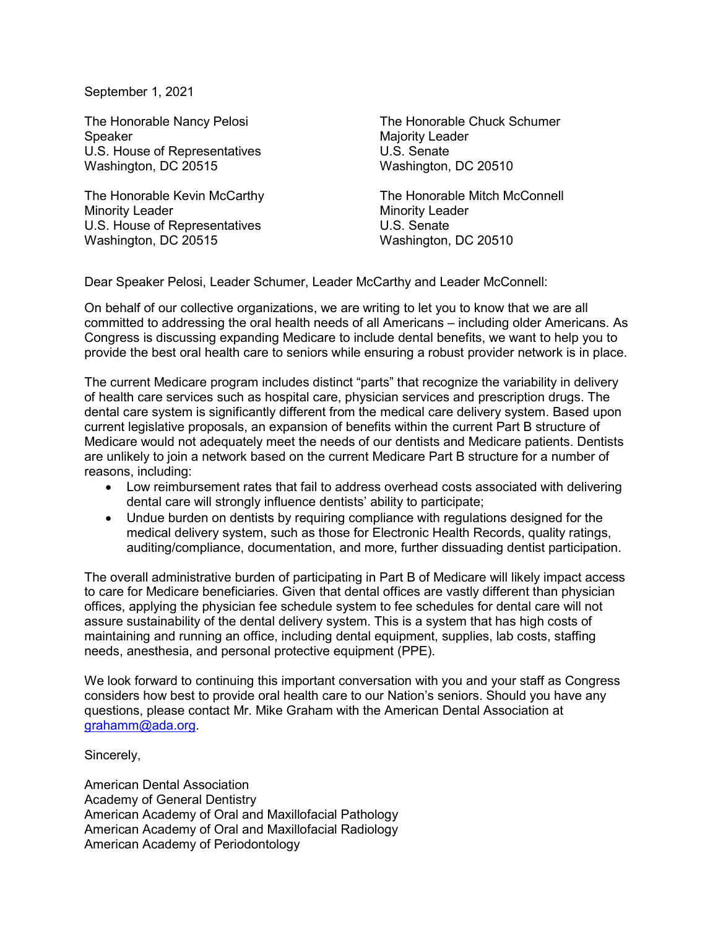September 1, 2021

The Honorable Nancy Pelosi Speaker U.S. House of Representatives Washington, DC 20515

The Honorable Kevin McCarthy Minority Leader U.S. House of Representatives Washington, DC 20515

The Honorable Chuck Schumer Majority Leader U.S. Senate Washington, DC 20510

The Honorable Mitch McConnell Minority Leader U.S. Senate Washington, DC 20510

Dear Speaker Pelosi, Leader Schumer, Leader McCarthy and Leader McConnell:

On behalf of our collective organizations, we are writing to let you to know that we are all committed to addressing the oral health needs of all Americans – including older Americans. As Congress is discussing expanding Medicare to include dental benefits, we want to help you to provide the best oral health care to seniors while ensuring a robust provider network is in place.

The current Medicare program includes distinct "parts" that recognize the variability in delivery of health care services such as hospital care, physician services and prescription drugs. The dental care system is significantly different from the medical care delivery system. Based upon current legislative proposals, an expansion of benefits within the current Part B structure of Medicare would not adequately meet the needs of our dentists and Medicare patients. Dentists are unlikely to join a network based on the current Medicare Part B structure for a number of reasons, including:

- Low reimbursement rates that fail to address overhead costs associated with delivering dental care will strongly influence dentists' ability to participate;
- Undue burden on dentists by requiring compliance with regulations designed for the medical delivery system, such as those for Electronic Health Records, quality ratings, auditing/compliance, documentation, and more, further dissuading dentist participation.

The overall administrative burden of participating in Part B of Medicare will likely impact access to care for Medicare beneficiaries. Given that dental offices are vastly different than physician offices, applying the physician fee schedule system to fee schedules for dental care will not assure sustainability of the dental delivery system. This is a system that has high costs of maintaining and running an office, including dental equipment, supplies, lab costs, staffing needs, anesthesia, and personal protective equipment (PPE).

We look forward to continuing this important conversation with you and your staff as Congress considers how best to provide oral health care to our Nation's seniors. Should you have any questions, please contact Mr. Mike Graham with the American Dental Association at grahamm@ada.org.

Sincerely,

American Dental Association Academy of General Dentistry American Academy of Oral and Maxillofacial Pathology American Academy of Oral and Maxillofacial Radiology American Academy of Periodontology